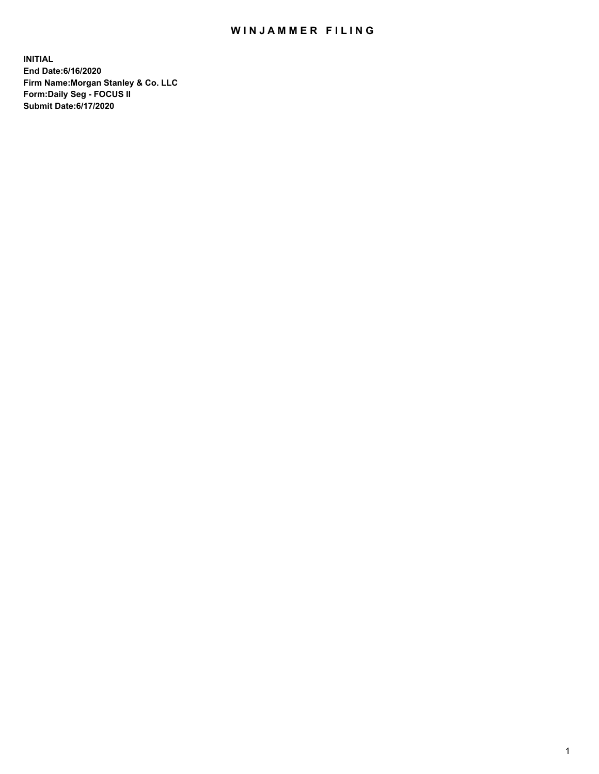## WIN JAMMER FILING

**INITIAL End Date:6/16/2020 Firm Name:Morgan Stanley & Co. LLC Form:Daily Seg - FOCUS II Submit Date:6/17/2020**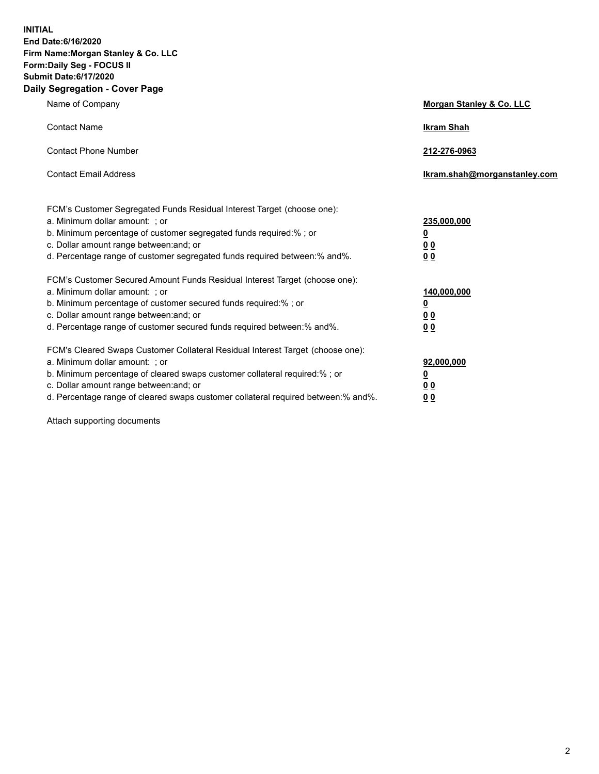**INITIAL End Date:6/16/2020 Firm Name:Morgan Stanley & Co. LLC Form:Daily Seg - FOCUS II Submit Date:6/17/2020 Daily Segregation - Cover Page**

| Name of Company                                                                                                                                                                                                                                                                                                                | Morgan Stanley & Co. LLC                               |
|--------------------------------------------------------------------------------------------------------------------------------------------------------------------------------------------------------------------------------------------------------------------------------------------------------------------------------|--------------------------------------------------------|
| <b>Contact Name</b>                                                                                                                                                                                                                                                                                                            | <b>Ikram Shah</b>                                      |
| <b>Contact Phone Number</b>                                                                                                                                                                                                                                                                                                    | 212-276-0963                                           |
| <b>Contact Email Address</b>                                                                                                                                                                                                                                                                                                   | Ikram.shah@morganstanley.com                           |
| FCM's Customer Segregated Funds Residual Interest Target (choose one):<br>a. Minimum dollar amount: ; or<br>b. Minimum percentage of customer segregated funds required:% ; or<br>c. Dollar amount range between: and; or<br>d. Percentage range of customer segregated funds required between: % and %.                       | 235,000,000<br><u>0</u><br>00<br>0 <sub>0</sub>        |
| FCM's Customer Secured Amount Funds Residual Interest Target (choose one):<br>a. Minimum dollar amount: ; or<br>b. Minimum percentage of customer secured funds required:% ; or<br>c. Dollar amount range between: and; or<br>d. Percentage range of customer secured funds required between:% and%.                           | 140,000,000<br><u>0</u><br><u>00</u><br>0 <sub>0</sub> |
| FCM's Cleared Swaps Customer Collateral Residual Interest Target (choose one):<br>a. Minimum dollar amount: ; or<br>b. Minimum percentage of cleared swaps customer collateral required:% ; or<br>c. Dollar amount range between: and; or<br>d. Percentage range of cleared swaps customer collateral required between:% and%. | 92,000,000<br><u>0</u><br><u>00</u><br>00              |

Attach supporting documents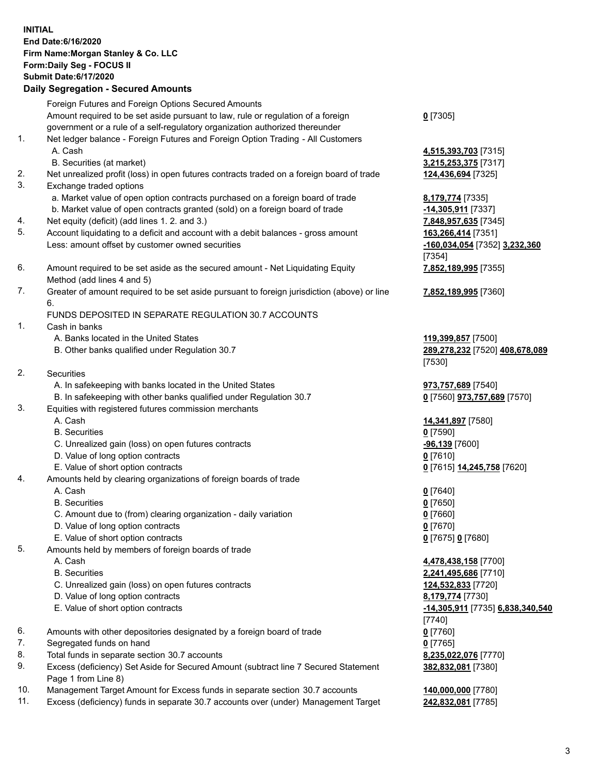| <b>INITIAL</b> | End Date: 6/16/2020<br>Firm Name: Morgan Stanley & Co. LLC<br>Form: Daily Seg - FOCUS II<br><b>Submit Date:6/17/2020</b><br><b>Daily Segregation - Secured Amounts</b> |                                                     |
|----------------|------------------------------------------------------------------------------------------------------------------------------------------------------------------------|-----------------------------------------------------|
|                | Foreign Futures and Foreign Options Secured Amounts                                                                                                                    |                                                     |
|                | Amount required to be set aside pursuant to law, rule or regulation of a foreign                                                                                       | $0$ [7305]                                          |
|                | government or a rule of a self-regulatory organization authorized thereunder                                                                                           |                                                     |
| 1.             | Net ledger balance - Foreign Futures and Foreign Option Trading - All Customers<br>A. Cash                                                                             |                                                     |
|                | B. Securities (at market)                                                                                                                                              | 4,515,393,703 [7315]<br>3,215,253,375 [7317]        |
| 2.             | Net unrealized profit (loss) in open futures contracts traded on a foreign board of trade                                                                              | 124,436,694 [7325]                                  |
| 3.             | Exchange traded options                                                                                                                                                |                                                     |
|                | a. Market value of open option contracts purchased on a foreign board of trade                                                                                         | 8,179,774 [7335]                                    |
|                | b. Market value of open contracts granted (sold) on a foreign board of trade                                                                                           | $-14,305,911$ [7337]                                |
| 4.             | Net equity (deficit) (add lines 1.2. and 3.)                                                                                                                           | 7,848,957,635 [7345]                                |
| 5.             | Account liquidating to a deficit and account with a debit balances - gross amount<br>Less: amount offset by customer owned securities                                  | 163,266,414 [7351]<br>-160,034,054 [7352] 3,232,360 |
|                |                                                                                                                                                                        | [7354]                                              |
| 6.             | Amount required to be set aside as the secured amount - Net Liquidating Equity                                                                                         | 7,852,189,995 [7355]                                |
|                | Method (add lines 4 and 5)                                                                                                                                             |                                                     |
| 7.             | Greater of amount required to be set aside pursuant to foreign jurisdiction (above) or line<br>6.                                                                      | 7,852,189,995 [7360]                                |
|                | FUNDS DEPOSITED IN SEPARATE REGULATION 30.7 ACCOUNTS                                                                                                                   |                                                     |
| 1.             | Cash in banks                                                                                                                                                          |                                                     |
|                | A. Banks located in the United States                                                                                                                                  | 119,399,857 [7500]                                  |
|                | B. Other banks qualified under Regulation 30.7                                                                                                                         | 289,278,232 [7520] 408,678,089                      |
| 2.             | Securities                                                                                                                                                             | [7530]                                              |
|                | A. In safekeeping with banks located in the United States                                                                                                              | 973,757,689 [7540]                                  |
|                | B. In safekeeping with other banks qualified under Regulation 30.7                                                                                                     | 0 [7560] 973,757,689 [7570]                         |
| 3.             | Equities with registered futures commission merchants                                                                                                                  |                                                     |
|                | A. Cash                                                                                                                                                                | 14,341,897 [7580]                                   |
|                | <b>B.</b> Securities                                                                                                                                                   | $0$ [7590]                                          |
|                | C. Unrealized gain (loss) on open futures contracts                                                                                                                    | -96,139 [7600]                                      |
|                | D. Value of long option contracts<br>E. Value of short option contracts                                                                                                | $0$ [7610]                                          |
| 4.             | Amounts held by clearing organizations of foreign boards of trade                                                                                                      | 0 [7615] 14,245,758 [7620]                          |
|                | A. Cash                                                                                                                                                                | $0$ [7640]                                          |
|                | <b>B.</b> Securities                                                                                                                                                   | $0$ [7650]                                          |
|                | C. Amount due to (from) clearing organization - daily variation                                                                                                        | $0$ [7660]                                          |
|                | D. Value of long option contracts                                                                                                                                      | $0$ [7670]                                          |
|                | E. Value of short option contracts                                                                                                                                     | 0 [7675] 0 [7680]                                   |
| 5.             | Amounts held by members of foreign boards of trade<br>A. Cash                                                                                                          | 4,478,438,158 [7700]                                |
|                | <b>B.</b> Securities                                                                                                                                                   | 2,241,495,686 [7710]                                |
|                | C. Unrealized gain (loss) on open futures contracts                                                                                                                    | 124,532,833 [7720]                                  |
|                | D. Value of long option contracts                                                                                                                                      | 8,179,774 [7730]                                    |
|                | E. Value of short option contracts                                                                                                                                     | -14,305,911 [7735] 6,838,340,540                    |
|                |                                                                                                                                                                        | [7740]                                              |
| 6.             | Amounts with other depositories designated by a foreign board of trade                                                                                                 | $0$ [7760]                                          |
| 7.<br>8.       | Segregated funds on hand<br>Total funds in separate section 30.7 accounts                                                                                              | $0$ [7765]<br>8,235,022,076 [7770]                  |
| 9.             | Excess (deficiency) Set Aside for Secured Amount (subtract line 7 Secured Statement                                                                                    | 382,832,081 [7380]                                  |
|                | Page 1 from Line 8)                                                                                                                                                    |                                                     |
|                |                                                                                                                                                                        |                                                     |

- 10. Management Target Amount for Excess funds in separate section 30.7 accounts **140,000,000** [7780]
- 11. Excess (deficiency) funds in separate 30.7 accounts over (under) Management Target **242,832,081** [7785]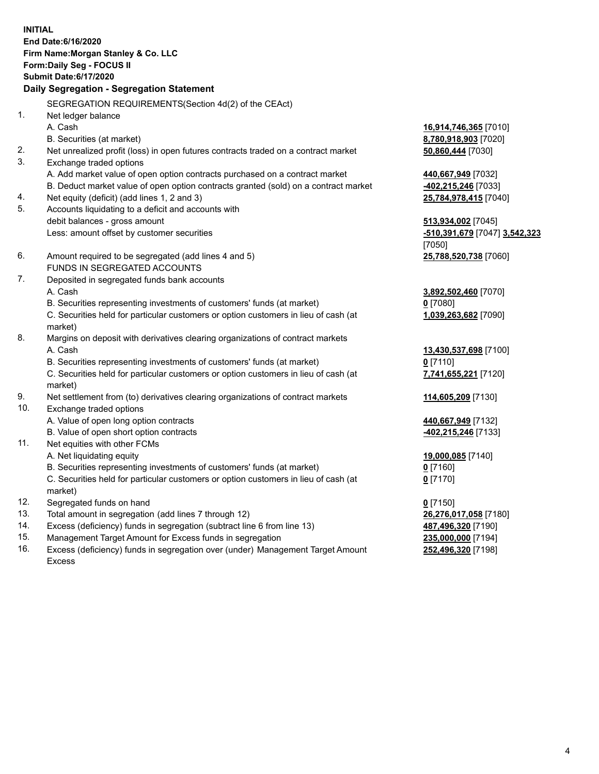**INITIAL End Date:6/16/2020 Firm Name:Morgan Stanley & Co. LLC Form:Daily Seg - FOCUS II Submit Date:6/17/2020 Daily Segregation - Segregation Statement** SEGREGATION REQUIREMENTS(Section 4d(2) of the CEAct) 1. Net ledger balance A. Cash **16,914,746,365** [7010] B. Securities (at market) **8,780,918,903** [7020] 2. Net unrealized profit (loss) in open futures contracts traded on a contract market **50,860,444** [7030] 3. Exchange traded options A. Add market value of open option contracts purchased on a contract market **440,667,949** [7032] B. Deduct market value of open option contracts granted (sold) on a contract market **-402,215,246** [7033] 4. Net equity (deficit) (add lines 1, 2 and 3) **25,784,978,415** [7040] 5. Accounts liquidating to a deficit and accounts with debit balances - gross amount **513,934,002** [7045] Less: amount offset by customer securities **-510,391,679** [7047] **3,542,323** [7050] 6. Amount required to be segregated (add lines 4 and 5) **25,788,520,738** [7060] FUNDS IN SEGREGATED ACCOUNTS 7. Deposited in segregated funds bank accounts A. Cash **3,892,502,460** [7070] B. Securities representing investments of customers' funds (at market) **0** [7080] C. Securities held for particular customers or option customers in lieu of cash (at market) **1,039,263,682** [7090] 8. Margins on deposit with derivatives clearing organizations of contract markets A. Cash **13,430,537,698** [7100] B. Securities representing investments of customers' funds (at market) **0** [7110] C. Securities held for particular customers or option customers in lieu of cash (at market) **7,741,655,221** [7120] 9. Net settlement from (to) derivatives clearing organizations of contract markets **114,605,209** [7130] 10. Exchange traded options A. Value of open long option contracts **440,667,949** [7132] B. Value of open short option contracts **-402,215,246** [7133] 11. Net equities with other FCMs A. Net liquidating equity **19,000,085** [7140] B. Securities representing investments of customers' funds (at market) **0** [7160] C. Securities held for particular customers or option customers in lieu of cash (at market) **0** [7170] 12. Segregated funds on hand **0** [7150] 13. Total amount in segregation (add lines 7 through 12) **26,276,017,058** [7180] 14. Excess (deficiency) funds in segregation (subtract line 6 from line 13) **487,496,320** [7190] 15. Management Target Amount for Excess funds in segregation **235,000,000** [7194]

16. Excess (deficiency) funds in segregation over (under) Management Target Amount Excess

**252,496,320** [7198]